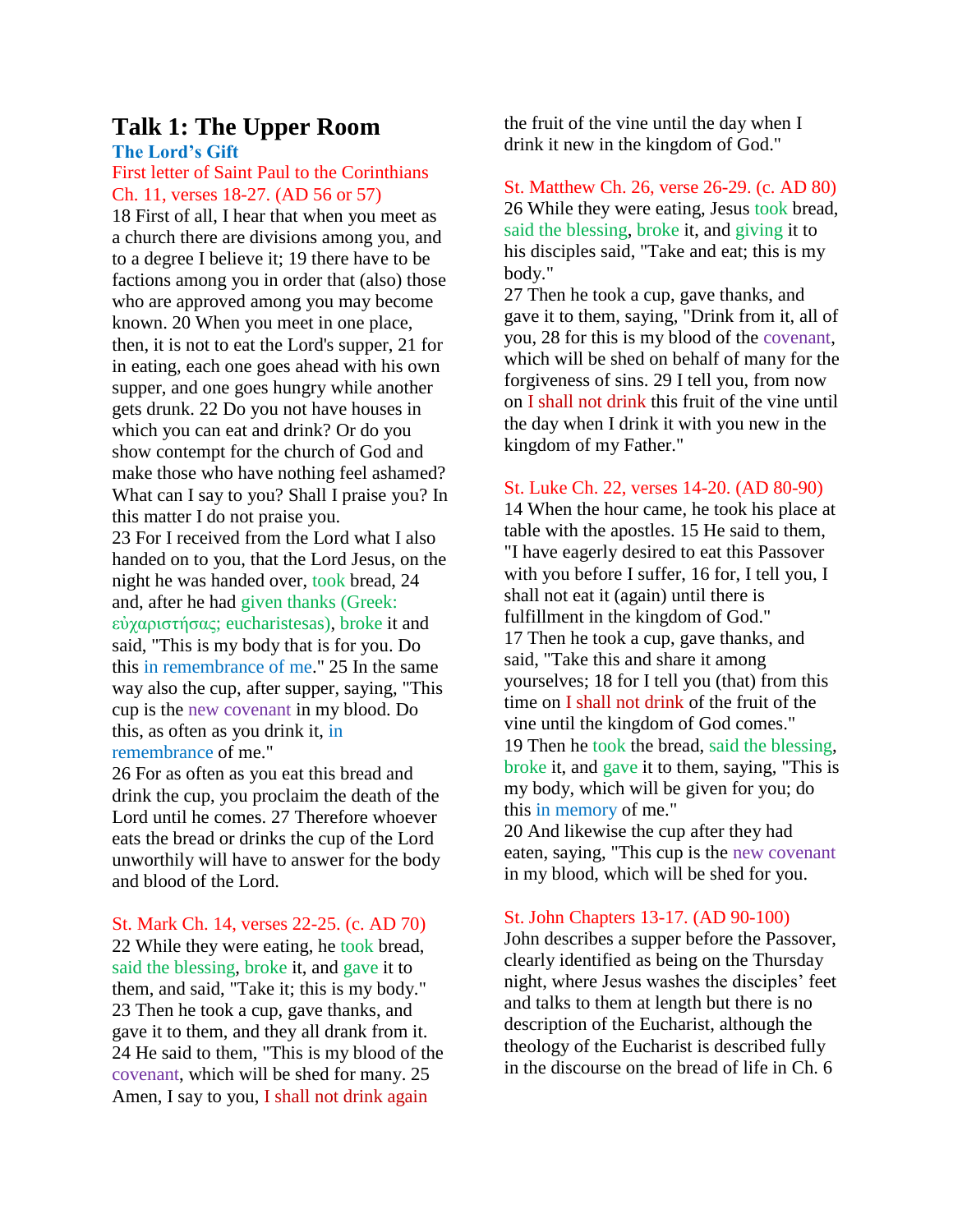# **Talk 1: The Upper Room The Lord's Gift**

First letter of Saint Paul to the Corinthians Ch. 11, verses 18-27. (AD 56 or 57)

18 First of all, I hear that when you meet as a church there are divisions among you, and to a degree I believe it; 19 there have to be factions among you in order that (also) those who are approved among you may become known. 20 When you meet in one place, then, it is not to eat the Lord's supper, 21 for in eating, each one goes ahead with his own supper, and one goes hungry while another gets drunk. 22 Do you not have houses in which you can eat and drink? Or do you show contempt for the church of God and make those who have nothing feel ashamed? What can I say to you? Shall I praise you? In this matter I do not praise you. 23 For I received from the Lord what I also handed on to you, that the Lord Jesus, on the night he was handed over, took bread, 24

and, after he had given thanks (Greek: εὐχαριστήσας; eucharistesas), broke it and said, "This is my body that is for you. Do this in remembrance of me." 25 In the same way also the cup, after supper, saying, "This cup is the new covenant in my blood. Do this, as often as you drink it, in remembrance of me."

26 For as often as you eat this bread and drink the cup, you proclaim the death of the Lord until he comes. 27 Therefore whoever eats the bread or drinks the cup of the Lord unworthily will have to answer for the body and blood of the Lord.

St. Mark Ch. 14, verses 22-25. (c. AD 70) 22 While they were eating, he took bread, said the blessing, broke it, and gave it to them, and said, "Take it; this is my body." 23 Then he took a cup, gave thanks, and gave it to them, and they all drank from it. 24 He said to them, "This is my blood of the covenant, which will be shed for many. 25 Amen, I say to you, I shall not drink again

the fruit of the vine until the day when I drink it new in the kingdom of God."

St. Matthew Ch. 26, verse 26-29. (c. AD 80) 26 While they were eating, Jesus took bread, said the blessing, broke it, and giving it to his disciples said, "Take and eat; this is my body."

27 Then he took a cup, gave thanks, and gave it to them, saying, "Drink from it, all of you, 28 for this is my blood of the covenant, which will be shed on behalf of many for the forgiveness of sins. 29 I tell you, from now on I shall not drink this fruit of the vine until the day when I drink it with you new in the kingdom of my Father."

# St. Luke Ch. 22, verses 14-20. (AD 80-90)

14 When the hour came, he took his place at table with the apostles. 15 He said to them, "I have eagerly desired to eat this Passover with you before I suffer, 16 for, I tell you, I shall not eat it (again) until there is fulfillment in the kingdom of God." 17 Then he took a cup, gave thanks, and said, "Take this and share it among yourselves; 18 for I tell you (that) from this time on I shall not drink of the fruit of the vine until the kingdom of God comes." 19 Then he took the bread, said the blessing, broke it, and gave it to them, saying, "This is my body, which will be given for you; do this in memory of me." 20 And likewise the cup after they had

eaten, saying, "This cup is the new covenant in my blood, which will be shed for you.

# St. John Chapters 13-17. (AD 90-100)

John describes a supper before the Passover, clearly identified as being on the Thursday night, where Jesus washes the disciples' feet and talks to them at length but there is no description of the Eucharist, although the theology of the Eucharist is described fully in the discourse on the bread of life in Ch. 6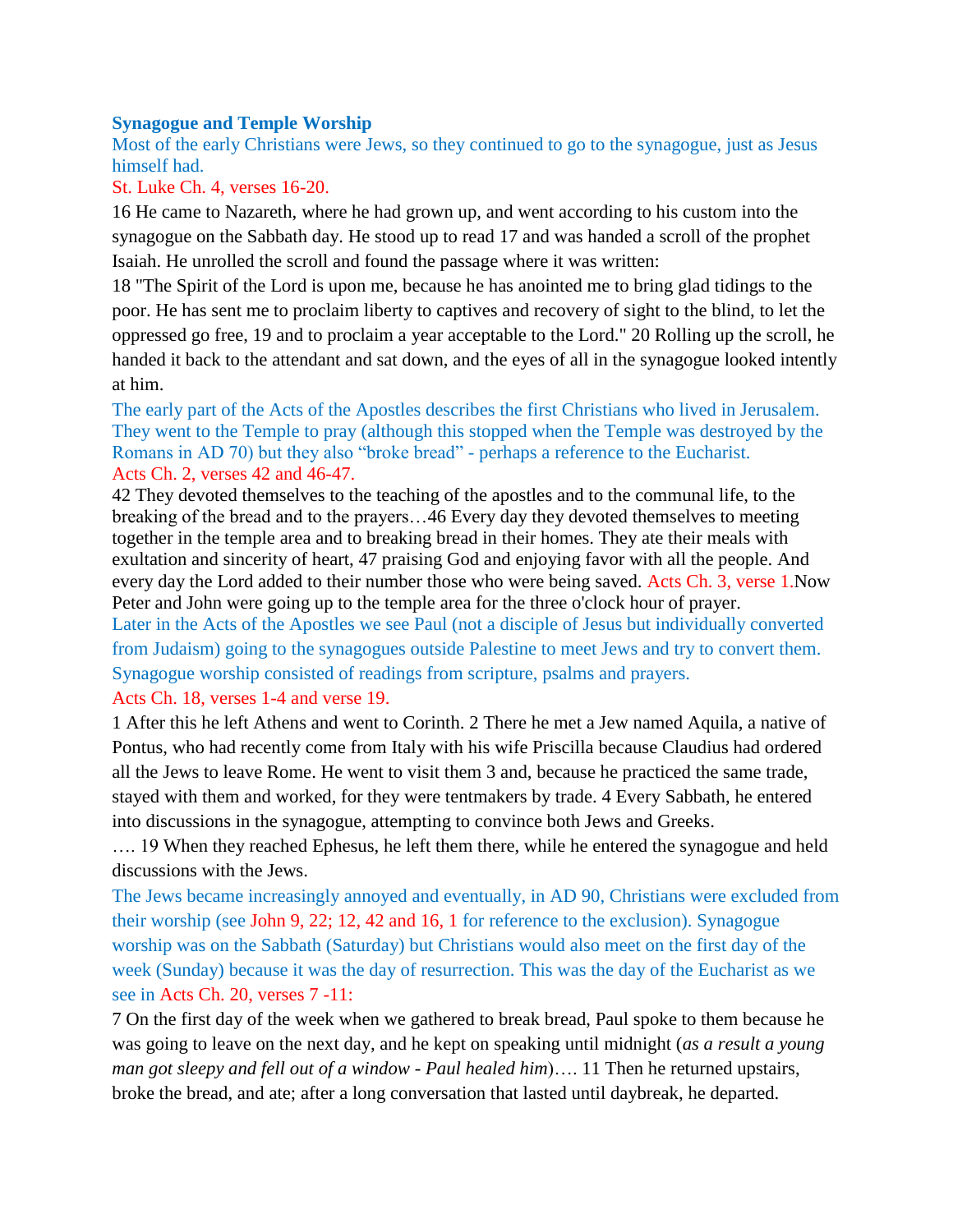## **Synagogue and Temple Worship**

Most of the early Christians were Jews, so they continued to go to the synagogue, just as Jesus himself had.

# St. Luke Ch. 4, verses 16-20.

16 He came to Nazareth, where he had grown up, and went according to his custom into the synagogue on the Sabbath day. He stood up to read 17 and was handed a scroll of the prophet Isaiah. He unrolled the scroll and found the passage where it was written:

18 "The Spirit of the Lord is upon me, because he has anointed me to bring glad tidings to the poor. He has sent me to proclaim liberty to captives and recovery of sight to the blind, to let the oppressed go free, 19 and to proclaim a year acceptable to the Lord." 20 Rolling up the scroll, he handed it back to the attendant and sat down, and the eyes of all in the synagogue looked intently at him.

The early part of the Acts of the Apostles describes the first Christians who lived in Jerusalem. They went to the Temple to pray (although this stopped when the Temple was destroyed by the Romans in AD 70) but they also "broke bread" - perhaps a reference to the Eucharist. Acts Ch. 2, verses 42 and 46-47.

42 They devoted themselves to the teaching of the apostles and to the communal life, to the breaking of the bread and to the prayers…46 Every day they devoted themselves to meeting together in the temple area and to breaking bread in their homes. They ate their meals with exultation and sincerity of heart, 47 praising God and enjoying favor with all the people. And every day the Lord added to their number those who were being saved. Acts Ch. 3, verse 1.Now Peter and John were going up to the temple area for the three o'clock hour of prayer. Later in the Acts of the Apostles we see Paul (not a disciple of Jesus but individually converted from Judaism) going to the synagogues outside Palestine to meet Jews and try to convert them. Synagogue worship consisted of readings from scripture, psalms and prayers.

# Acts Ch. 18, verses 1-4 and verse 19.

1 After this he left Athens and went to Corinth. 2 There he met a Jew named Aquila, a native of Pontus, who had recently come from Italy with his wife Priscilla because Claudius had ordered all the Jews to leave Rome. He went to visit them 3 and, because he practiced the same trade, stayed with them and worked, for they were tentmakers by trade. 4 Every Sabbath, he entered into discussions in the synagogue, attempting to convince both Jews and Greeks.

…. 19 When they reached Ephesus, he left them there, while he entered the synagogue and held discussions with the Jews.

The Jews became increasingly annoyed and eventually, in AD 90, Christians were excluded from their worship (see John 9, 22; 12, 42 and 16, 1 for reference to the exclusion). Synagogue worship was on the Sabbath (Saturday) but Christians would also meet on the first day of the week (Sunday) because it was the day of resurrection. This was the day of the Eucharist as we see in Acts Ch. 20, verses 7 -11:

7 On the first day of the week when we gathered to break bread, Paul spoke to them because he was going to leave on the next day, and he kept on speaking until midnight (*as a result a young man got sleepy and fell out of a window - Paul healed him*)…. 11 Then he returned upstairs, broke the bread, and ate; after a long conversation that lasted until daybreak, he departed.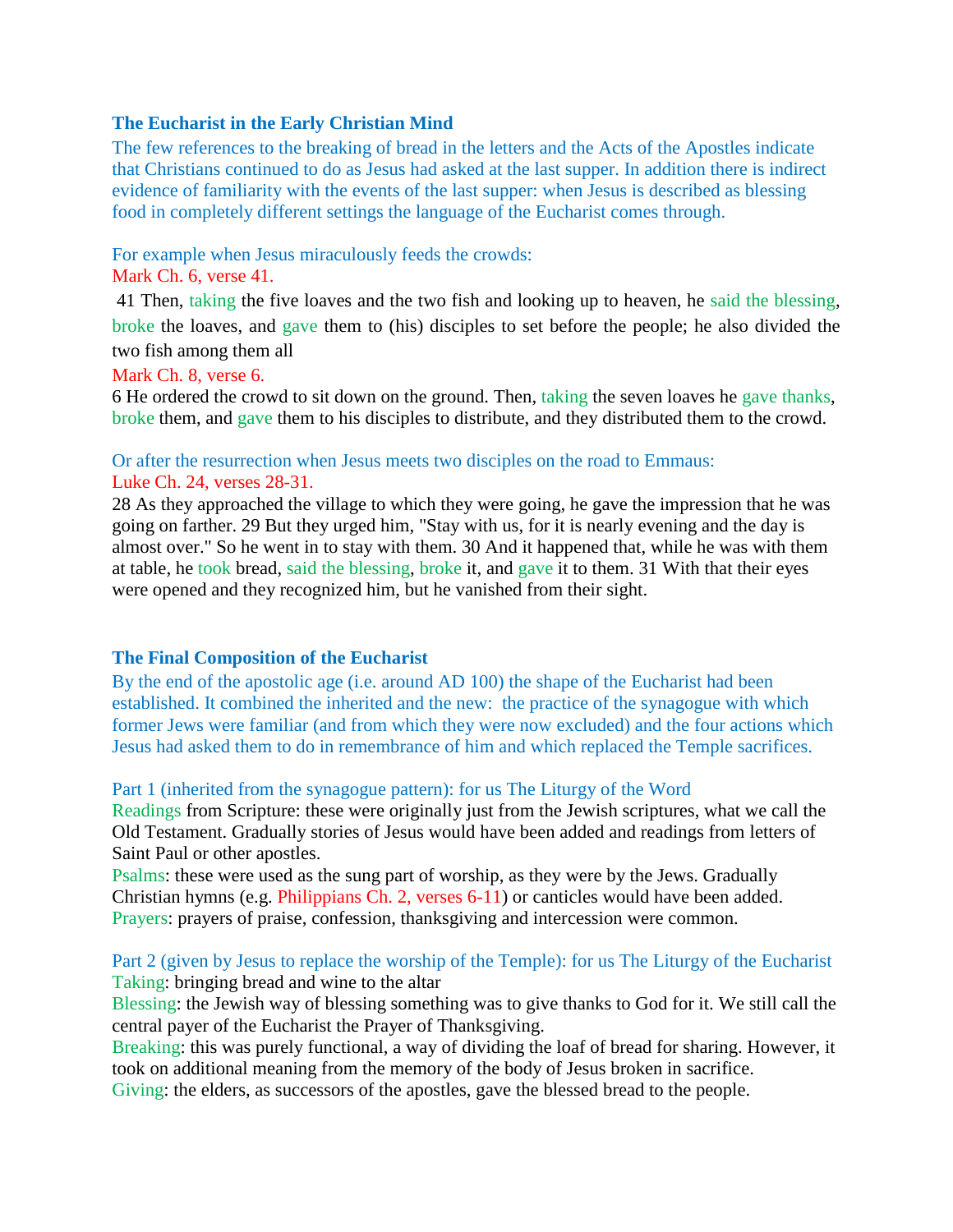# **The Eucharist in the Early Christian Mind**

The few references to the breaking of bread in the letters and the Acts of the Apostles indicate that Christians continued to do as Jesus had asked at the last supper. In addition there is indirect evidence of familiarity with the events of the last supper: when Jesus is described as blessing food in completely different settings the language of the Eucharist comes through.

## For example when Jesus miraculously feeds the crowds:

# Mark Ch. 6, verse 41.

41 Then, taking the five loaves and the two fish and looking up to heaven, he said the blessing, broke the loaves, and gave them to (his) disciples to set before the people; he also divided the two fish among them all

### Mark Ch. 8, verse 6.

6 He ordered the crowd to sit down on the ground. Then, taking the seven loaves he gave thanks, broke them, and gave them to his disciples to distribute, and they distributed them to the crowd.

# Or after the resurrection when Jesus meets two disciples on the road to Emmaus: Luke Ch. 24, verses 28-31.

28 As they approached the village to which they were going, he gave the impression that he was going on farther. 29 But they urged him, "Stay with us, for it is nearly evening and the day is almost over." So he went in to stay with them. 30 And it happened that, while he was with them at table, he took bread, said the blessing, broke it, and gave it to them. 31 With that their eyes were opened and they recognized him, but he vanished from their sight.

# **The Final Composition of the Eucharist**

By the end of the apostolic age (i.e. around AD 100) the shape of the Eucharist had been established. It combined the inherited and the new: the practice of the synagogue with which former Jews were familiar (and from which they were now excluded) and the four actions which Jesus had asked them to do in remembrance of him and which replaced the Temple sacrifices.

#### Part 1 (inherited from the synagogue pattern): for us The Liturgy of the Word

Readings from Scripture: these were originally just from the Jewish scriptures, what we call the Old Testament. Gradually stories of Jesus would have been added and readings from letters of Saint Paul or other apostles.

Psalms: these were used as the sung part of worship, as they were by the Jews. Gradually Christian hymns (e.g. Philippians Ch. 2, verses 6-11) or canticles would have been added. Prayers: prayers of praise, confession, thanksgiving and intercession were common.

# Part 2 (given by Jesus to replace the worship of the Temple): for us The Liturgy of the Eucharist Taking: bringing bread and wine to the altar

Blessing: the Jewish way of blessing something was to give thanks to God for it. We still call the central payer of the Eucharist the Prayer of Thanksgiving.

Breaking: this was purely functional, a way of dividing the loaf of bread for sharing. However, it took on additional meaning from the memory of the body of Jesus broken in sacrifice.

Giving: the elders, as successors of the apostles, gave the blessed bread to the people.